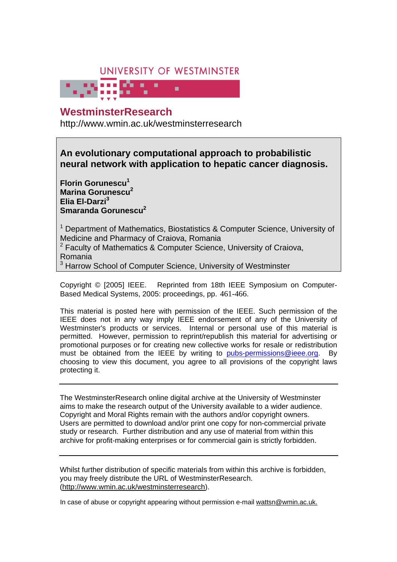# UNIVERSITY OF WESTMINSTER

# **WestminsterResearch Exercise 20**

http://www.wmin.ac.uk/westminsterresearch

**An evolutionary computational approach to probabilistic neural network with application to hepatic cancer diagnosis.** 

**Florin Gorunescu<sup>1</sup> Marina Gorunescu<sup>2</sup> Elia El-Darzi<sup>3</sup> Smaranda Gorunescu<sup>2</sup>**

<sup>1</sup> Department of Mathematics, Biostatistics & Computer Science, University of Medicine and Pharmacy of Craiova, Romania

<sup>2</sup> Faculty of Mathematics & Computer Science, University of Craiova, Romania

<sup>3</sup> Harrow School of Computer Science, University of Westminster

Copyright © [2005] IEEE. Reprinted from 18th IEEE Symposium on Computer-Based Medical Systems, 2005: proceedings, pp. 461-466.

This material is posted here with permission of the IEEE. Such permission of the IEEE does not in any way imply IEEE endorsement of any of the University of Westminster's products or services. Internal or personal use of this material is permitted. However, permission to reprint/republish this material for advertising or promotional purposes or for creating new collective works for resale or redistribution must be obtained from the IEEE by writing to pubs-permissions@ieee.org. By choosing to view this document, you agree to all provisions of the copyright laws protecting it.

The WestminsterResearch online digital archive at the University of Westminster aims to make the research output of the University available to a wider audience. Copyright and Moral Rights remain with the authors and/or copyright owners. Users are permitted to download and/or print one copy for non-commercial private Users are permitted to download and/or print one copy for non-commercial private study or research. Further distribution and any use of material from within this study or research. Further distribution and any use of material from within this archive for profit-making enterprises or for commercial gain is strictly forbidden. archive for profit-making enterprises or for commercial gain is strictly forbidden.

Whilst further distribution of specific materials from within this archive is forbidden, Whilst further distribution of specific materials from within this archive is forbidden, you may freely distribute the URL of WestminsterResearch. (http://www.wmin.ac.uk/westminsterresearch).

In case of abuse or copyright appearing without permission e-mail wattsn@wmin.ac.uk.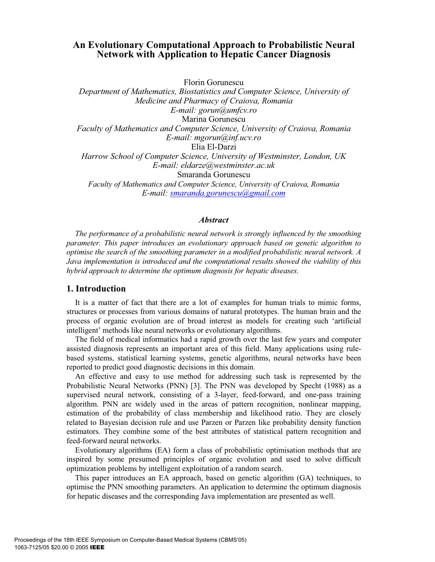# **An Evolutionary Computational Approach to Probabilistic Neural Network with Application to Hepatic Cancer Diagnosis**

Florin Gorunescu

*Department of Mathematics, Biostatistics and Computer Science, University of Medicine and Pharmacy of Craiova, Romania E-mail: gorun@umfcv.ro*  Marina Gorunescu *Faculty of Mathematics and Computer Science, University of Craiova, Romania E-mail: mgorun@inf.ucv.ro*  Elia El-Darzi *Harrow School of Computer Science, University of Westminster, London, UK E-mail: eldarze@westminster.ac.uk*  Smaranda Gorunescu *Faculty of Mathematics and Computer Science, University of Craiova, Romania E-mail: smaranda.gorunescu@gmail.com*

#### *Abstract*

*The performance of a probabilistic neural network is strongly influenced by the smoothing parameter. This paper introduces an evolutionary approach based on genetic algorithm to optimise the search of the smoothing parameter in a modified probabilistic neural network. A Java implementation is introduced and the computational results showed the viability of this hybrid approach to determine the optimum diagnosis for hepatic diseases.* 

#### **1. Introduction**

It is a matter of fact that there are a lot of examples for human trials to mimic forms, structures or processes from various domains of natural prototypes. The human brain and the process of organic evolution are of broad interest as models for creating such 'artificial intelligent' methods like neural networks or evolutionary algorithms.

The field of medical informatics had a rapid growth over the last few years and computer assisted diagnosis represents an important area of this field. Many applications using rulebased systems, statistical learning systems, genetic algorithms, neural networks have been reported to predict good diagnostic decisions in this domain.

An effective and easy to use method for addressing such task is represented by the Probabilistic Neural Networks (PNN) [3]. The PNN was developed by Specht (1988) as a supervised neural network, consisting of a 3-layer, feed-forward, and one-pass training algorithm. PNN are widely used in the areas of pattern recognition, nonlinear mapping, estimation of the probability of class membership and likelihood ratio. They are closely related to Bayesian decision rule and use Parzen or Parzen like probability density function estimators. They combine some of the best attributes of statistical pattern recognition and feed-forward neural networks.

Evolutionary algorithms (EA) form a class of probabilistic optimisation methods that are inspired by some presumed principles of organic evolution and used to solve difficult optimization problems by intelligent exploitation of a random search.

This paper introduces an EA approach, based on genetic algorithm (GA) techniques, to optimise the PNN smoothing parameters. An application to determine the optimum diagnosis for hepatic diseases and the corresponding Java implementation are presented as well.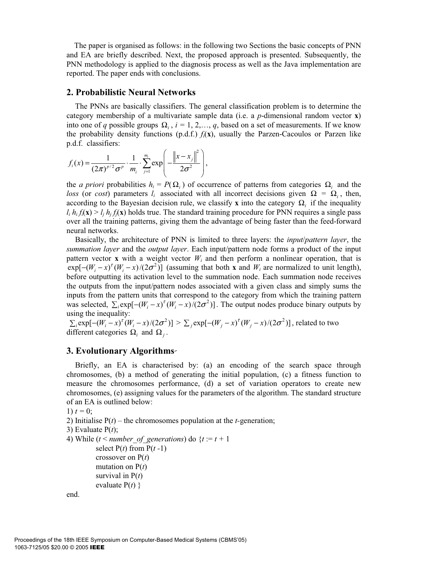The paper is organised as follows: in the following two Sections the basic concepts of PNN and EA are briefly described. Next, the proposed approach is presented. Subsequently, the PNN methodology is applied to the diagnosis process as well as the Java implementation are reported. The paper ends with conclusions.

## **2. Probabilistic Neural Networks**

The PNNs are basically classifiers. The general classification problem is to determine the category membership of a multivariate sample data (i.e. a *p*-dimensional random vector **x**) into one of *q* possible groups  $\Omega_i$ ,  $i = 1, 2, \ldots, q$ , based on a set of measurements. If we know the probability density functions  $(p.d.f.) f_i(x)$ , usually the Parzen-Cacoulos or Parzen like p.d.f. classifiers: 2

$$
f_i(x) = \frac{1}{(2\pi)^{p/2} \sigma^p} \cdot \frac{1}{m_i} \cdot \sum_{j=1}^{m_i} \exp \left(-\frac{\left\|x - x_j\right\|^2}{2\sigma^2}\right),
$$

the *a priori* probabilities  $h_i = P(\Omega_i)$  of occurrence of patterns from categories  $\Omega_i$  and the *loss* (or *cost*) parameters  $l_i$  associated with all incorrect decisions given  $\Omega = \Omega_i$ , then, according to the Bayesian decision rule, we classify **x** into the category  $\Omega$ <sub>*i*</sub> if the inequality  $l_i h_i f_i(\mathbf{x}) > l_i h_i f_i(\mathbf{x})$  holds true. The standard training procedure for PNN requires a single pass over all the training patterns, giving them the advantage of being faster than the feed-forward neural networks.

Basically, the architecture of PNN is limited to three layers: the *input*/*pattern layer*, the *summation layer* and the *output layer*. Each input/pattern node forms a product of the input pattern vector **x** with a weight vector  $W_i$  and then perform a nonlinear operation, that is  $exp[-(W_i - x)^{\tau}(W_i - x)/(2\sigma^2)]$  (assuming that both **x** and  $W_i$  are normalized to unit length), before outputting its activation level to the summation node. Each summation node receives the outputs from the input/pattern nodes associated with a given class and simply sums the inputs from the pattern units that correspond to the category from which the training pattern was selected,  $\sum_i \exp[-(W_i - x)^{\tau}(W_i - x)/(2\sigma^2)]$ . The output nodes produce binary outputs by using the inequality:

 $\sum_i \exp[-(W_i - x)^{\tau} (W_i - x)/(2\sigma^2)] > \sum_j \exp[-(W_j - x)^{\tau} (W_j - x)/(2\sigma^2)]$ , related to two different categories  $\Omega_i$  and  $\Omega_i$ .

# **3. Evolutionary Algorithms**

Briefly, an EA is characterised by: (a) an encoding of the search space through chromosomes, (b) a method of generating the initial population, (c) a fitness function to measure the chromosomes performance, (d) a set of variation operators to create new chromosomes, (e) assigning values for the parameters of the algorithm. The standard structure of an EA is outlined below:

1)  $t = 0$ ;

2) Initialise P(*t*) – the chromosomes population at the *t-*generation;

```
3) Evaluate P(t);
```

```
4) While (t < number of generations) do {t := t + 1select P(t) from P(t-1) crossover on P(t)
mutation on P(t) survival in P(t)
 evaluate P(t) }
```

```
end.
```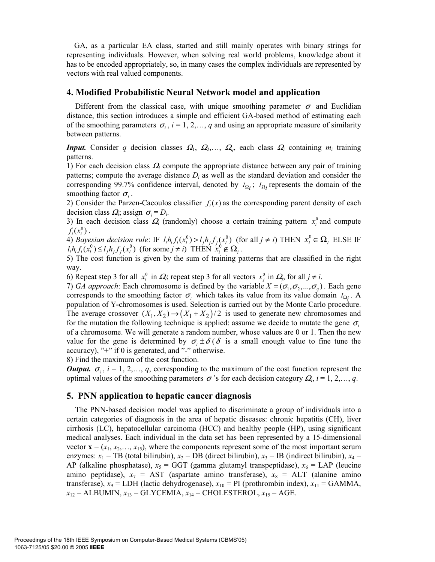GA, as a particular EA class, started and still mainly operates with binary strings for representing individuals. However, when solving real world problems, knowledge about it has to be encoded appropriately, so, in many cases the complex individuals are represented by vectors with real valued components.

#### **4. Modified Probabilistic Neural Network model and application**

Different from the classical case, with unique smoothing parameter  $\sigma$  and Euclidian distance, this section introduces a simple and efficient GA-based method of estimating each of the smoothing parameters  $\sigma_i$ ,  $i = 1, 2, \dots, q$  and using an appropriate measure of similarity between patterns.

*Input.* Consider *q* decision classes  $\Omega_1$ ,  $\Omega_2$ ,...,  $\Omega_q$ , each class  $\Omega_i$  containing  $m_i$  training patterns.

1) For each decision class <sup>Ω</sup>*i* compute the appropriate distance between any pair of training patterns; compute the average distance *Di* as well as the standard deviation and consider the corresponding 99.7% confidence interval, denoted by  $I_{\Omega_i}$ ;  $I_{\Omega_i}$  represents the domain of the smoothing factor  $\sigma_i$ .

2) Consider the Parzen-Cacoulos classifier  $f<sub>i</sub>(x)$  as the corresponding parent density of each decision class  $Q_i$ ; assign  $\sigma_i = D_i$ .

3) In each decision class  $\Omega_i$  (randomly) choose a certain training pattern  $x_i^0$  and compute  $f_i(x_i^0)$ .

4) *Bayesian decision rule*: IF  $l_i h_i f_i(x_i^0) > l_j h_j f_j(x_i^0)$  (for all  $j \neq i$ ) THEN  $x_i^0 \in \Omega_i$  ELSE IF  $l_i h_i f_i(x_i^0) \le l_j h_j f_j(x_i^0)$  (for some  $j \ne i$ ) THEN  $x_i^0 \notin \Omega_i$ .

5) The cost function is given by the sum of training patterns that are classified in the right way.

6) Repeat step 3 for all  $x_i^0$  in  $\Omega_i$ ; repeat step 3 for all vectors  $x_j^0$  in  $\Omega_j$ , for all  $j \neq i$ .

7) *GA approach*: Each chromosome is defined by the variable  $X = (\sigma_1, \sigma_2, ..., \sigma_n)$ . Each gene corresponds to the smoothing factor  $\sigma_i$  which takes its value from its value domain *I*<sub>Ω*i*</sub>. A population of Y**-**chromosomes is used. Selection is carried out by the Monte Carlo procedure. The average crossover  $(X_1, X_2) \rightarrow (X_1 + X_2)/2$  is used to generate new chromosomes and for the mutation the following technique is applied: assume we decide to mutate the gene  $\sigma_i$ of a chromosome. We will generate a random number, whose values are 0 or 1. Then the new value for the gene is determined by  $\sigma_i \pm \delta(\delta)$  is a small enough value to fine tune the accuracy), "+" if 0 is generated, and "-" otherwise.

8) Find the maximum of the cost function.

*Output.*  $\sigma_i$ ,  $i = 1, 2, \ldots, q$ , corresponding to the maximum of the cost function represent the optimal values of the smoothing parameters  $\sigma$ 's for each decision category  $\Omega_i$ ,  $i = 1, 2, \ldots, q$ .

### **5. PNN application to hepatic cancer diagnosis**

The PNN-based decision model was applied to discriminate a group of individuals into a certain categories of diagnosis in the area of hepatic diseases: chronic hepatitis (CH), liver cirrhosis (LC), hepatocellular carcinoma (HCC) and healthy people (HP), using significant medical analyses. Each individual in the data set has been represented by a 15-dimensional vector  $\mathbf{x} = (x_1, x_2, \dots, x_{15})$ , where the components represent some of the most important serum enzymes:  $x_1$  = TB (total bilirubin),  $x_2$  = DB (direct bilirubin),  $x_3$  = IB (indirect bilirubin),  $x_4$  = AP (alkaline phosphatase),  $x_5 = GGT$  (gamma glutamyl transpeptidase),  $x_6 = LAP$  (leucine amino peptidase),  $x_7$  = AST (aspartate amino transferase),  $x_8$  = ALT (alanine amino transferase),  $x_9$  = LDH (lactic dehydrogenase),  $x_{10}$  = PI (prothrombin index),  $x_{11}$  = GAMMA,  $x_{12}$  = ALBUMIN,  $x_{13}$  = GLYCEMIA,  $x_{14}$  = CHOLESTEROL,  $x_{15}$  = AGE.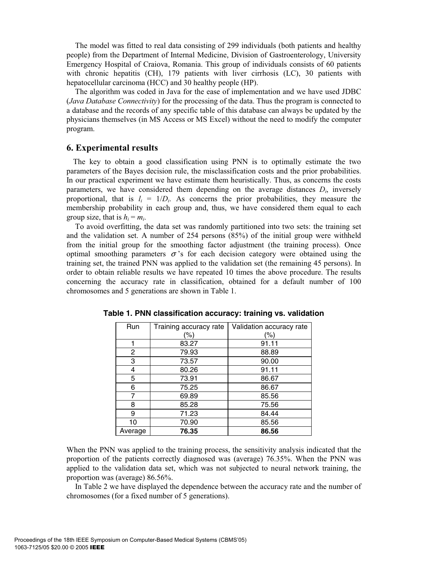The model was fitted to real data consisting of 299 individuals (both patients and healthy people) from the Department of Internal Medicine, Division of Gastroenterology, University Emergency Hospital of Craiova, Romania. This group of individuals consists of 60 patients with chronic hepatitis (CH), 179 patients with liver cirrhosis (LC), 30 patients with hepatocellular carcinoma (HCC) and 30 healthy people (HP).

The algorithm was coded in Java for the ease of implementation and we have used JDBC (*Java Database Connectivity*) for the processing of the data. Thus the program is connected to a database and the records of any specific table of this database can always be updated by the physicians themselves (in MS Access or MS Excel) without the need to modify the computer program.

# **6. Experimental results**

The key to obtain a good classification using PNN is to optimally estimate the two parameters of the Bayes decision rule, the misclassification costs and the prior probabilities. In our practical experiment we have estimate them heuristically. Thus, as concerns the costs parameters, we have considered them depending on the average distances *Di*, inversely proportional, that is  $l_i = 1/D_i$ . As concerns the prior probabilities, they measure the membership probability in each group and, thus, we have considered them equal to each group size, that is  $h_i = m_i$ .

To avoid overfitting, the data set was randomly partitioned into two sets: the training set and the validation set. A number of 254 persons (85%) of the initial group were withheld from the initial group for the smoothing factor adjustment (the training process). Once optimal smoothing parameters  $\sigma$ 's for each decision category were obtained using the training set, the trained PNN was applied to the validation set (the remaining 45 persons). In order to obtain reliable results we have repeated 10 times the above procedure. The results concerning the accuracy rate in classification, obtained for a default number of 100 chromosomes and 5 generations are shown in Table 1.

| Run     | Training accuracy rate | Validation accuracy rate |
|---------|------------------------|--------------------------|
|         | (%)                    | (%)                      |
|         | 83.27                  | 91.11                    |
| 2       | 79.93                  | 88.89                    |
| 3       | 73.57                  | 90.00                    |
| 4       | 80.26                  | 91.11                    |
| 5       | 73.91                  | 86.67                    |
| 6       | 75.25                  | 86.67                    |
| 7       | 69.89                  | 85.56                    |
| 8       | 85.28                  | 75.56                    |
| 9       | 71.23                  | 84.44                    |
| 10      | 70.90                  | 85.56                    |
| Average | 76.35                  | 86.56                    |

**Table 1. PNN classification accuracy: training vs. validation** 

When the PNN was applied to the training process, the sensitivity analysis indicated that the proportion of the patients correctly diagnosed was (average) 76.35%. When the PNN was applied to the validation data set, which was not subjected to neural network training, the proportion was (average) 86.56%.

In Table 2 we have displayed the dependence between the accuracy rate and the number of chromosomes (for a fixed number of 5 generations).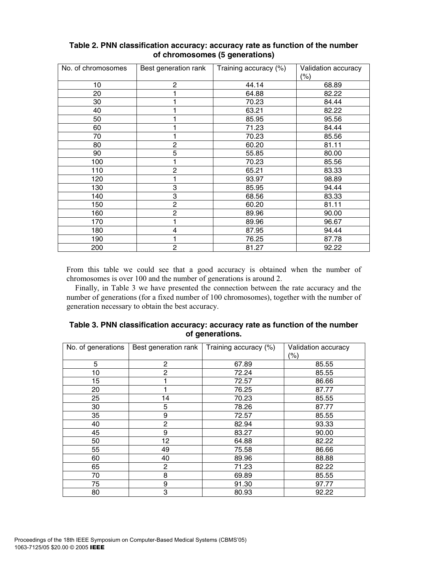| No. of chromosomes | Best generation rank | Training accuracy (%) | Validation accuracy<br>$(\% )$ |
|--------------------|----------------------|-----------------------|--------------------------------|
| 10                 | $\overline{c}$       | 44.14                 | 68.89                          |
| 20                 |                      | 64.88                 | 82.22                          |
| 30                 |                      | 70.23                 | 84.44                          |
| 40                 |                      | 63.21                 | 82.22                          |
| 50                 |                      | 85.95                 | 95.56                          |
| 60                 |                      | 71.23                 | 84.44                          |
| 70                 |                      | 70.23                 | 85.56                          |
| 80                 | $\overline{c}$       | 60.20                 | 81.11                          |
| 90                 | $\overline{5}$       | 55.85                 | 80.00                          |
| 100                | 1                    | 70.23                 | 85.56                          |
| 110                | $\overline{c}$       | 65.21                 | 83.33                          |
| 120                |                      | 93.97                 | 98.89                          |
| 130                | 3                    | 85.95                 | 94.44                          |
| 140                | 3                    | 68.56                 | 83.33                          |
| 150                | $\overline{c}$       | 60.20                 | 81.11                          |
| 160                | $\overline{c}$       | 89.96                 | 90.00                          |
| 170                | 1                    | 89.96                 | 96.67                          |
| 180                | 4                    | 87.95                 | 94.44                          |
| 190                | 1                    | 76.25                 | 87.78                          |
| 200                | $\overline{2}$       | 81.27                 | 92.22                          |

# **Table 2. PNN classification accuracy: accuracy rate as function of the number of chromosomes (5 generations)**

From this table we could see that a good accuracy is obtained when the number of chromosomes is over 100 and the number of generations is around 2.

Finally, in Table 3 we have presented the connection between the rate accuracy and the number of generations (for a fixed number of 100 chromosomes), together with the number of generation necessary to obtain the best accuracy.

| No. of generations | Best generation rank | Training accuracy (%) | Validation accuracy |  |  |  |
|--------------------|----------------------|-----------------------|---------------------|--|--|--|
|                    |                      |                       | (%)                 |  |  |  |
| 5                  | 2                    | 67.89                 | 85.55               |  |  |  |
| 10                 | $\mathbf{2}$         | 72.24                 | 85.55               |  |  |  |
| 15                 |                      | 72.57                 | 86.66               |  |  |  |
| 20                 |                      | 76.25                 | 87.77               |  |  |  |
| 25                 | 14                   | 70.23                 | 85.55               |  |  |  |
| 30                 | 5                    | 78.26                 | 87.77               |  |  |  |
| 35                 | 9                    | 72.57                 | 85.55               |  |  |  |
| 40                 | 2                    | 82.94                 | 93.33               |  |  |  |
| 45                 | 9                    | 83.27                 | 90.00               |  |  |  |
| 50                 | 12                   | 64.88                 | 82.22               |  |  |  |
| 55                 | 49                   | 75.58                 | 86.66               |  |  |  |
| 60                 | 40                   | 89.96                 | 88.88               |  |  |  |
| 65                 | 2                    | 71.23                 | 82.22               |  |  |  |
| 70                 | 8                    | 69.89                 | 85.55               |  |  |  |
| 75                 | 9                    | 91.30                 | 97.77               |  |  |  |
| 80                 | 3                    | 80.93                 | 92.22               |  |  |  |

**Table 3. PNN classification accuracy: accuracy rate as function of the number of generations.**